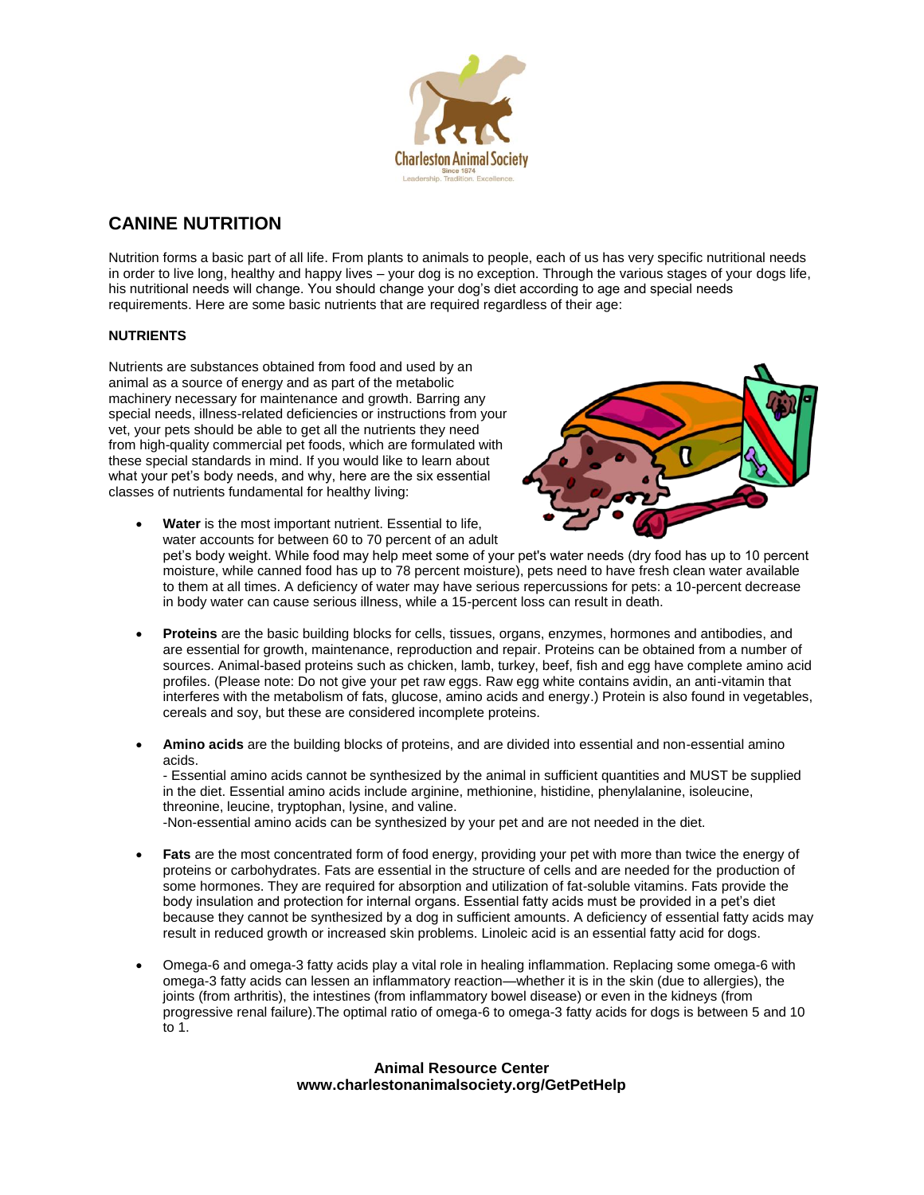

# **CANINE NUTRITION**

Nutrition forms a basic part of all life. From plants to animals to people, each of us has very specific nutritional needs in order to live long, healthy and happy lives – your dog is no exception. Through the various stages of your dogs life, his nutritional needs will change. You should change your dog's diet according to age and special needs requirements. Here are some basic nutrients that are required regardless of their age:

# **NUTRIENTS**

Nutrients are substances obtained from food and used by an animal as a source of energy and as part of the metabolic machinery necessary for maintenance and growth. Barring any special needs, illness-related deficiencies or instructions from your vet, your pets should be able to get all the nutrients they need from high-quality commercial pet foods, which are formulated with these special standards in mind. If you would like to learn about what your pet's body needs, and why, here are the six essential classes of nutrients fundamental for healthy living:



- **Water** is the most important nutrient. Essential to life, water accounts for between 60 to 70 percent of an adult pet's body weight. While food may help meet some of your pet's water needs (dry food has up to 10 percent moisture, while canned food has up to 78 percent moisture), pets need to have fresh clean water available to them at all times. A deficiency of water may have serious repercussions for pets: a 10-percent decrease in body water can cause serious illness, while a 15-percent loss can result in death.
- **Proteins** are the basic building blocks for cells, tissues, organs, enzymes, hormones and antibodies, and are essential for growth, maintenance, reproduction and repair. Proteins can be obtained from a number of sources. Animal-based proteins such as chicken, lamb, turkey, beef, fish and egg have complete amino acid profiles. (Please note: Do not give your pet raw eggs. Raw egg white contains avidin, an anti-vitamin that interferes with the metabolism of fats, glucose, amino acids and energy.) Protein is also found in vegetables, cereals and soy, but these are considered incomplete proteins.
- **Amino acids** are the building blocks of proteins, and are divided into essential and non-essential amino acids.

- Essential amino acids cannot be synthesized by the animal in sufficient quantities and MUST be supplied in the diet. Essential amino acids include arginine, methionine, histidine, phenylalanine, isoleucine, threonine, leucine, tryptophan, lysine, and valine.

-Non-essential amino acids can be synthesized by your pet and are not needed in the diet.

- **Fats** are the most concentrated form of food energy, providing your pet with more than twice the energy of proteins or carbohydrates. Fats are essential in the structure of cells and are needed for the production of some hormones. They are required for absorption and utilization of fat-soluble vitamins. Fats provide the body insulation and protection for internal organs. Essential fatty acids must be provided in a pet's diet because they cannot be synthesized by a dog in sufficient amounts. A deficiency of essential fatty acids may result in reduced growth or increased skin problems. Linoleic acid is an essential fatty acid for dogs.
- Omega-6 and omega-3 fatty acids play a vital role in healing inflammation. Replacing some omega-6 with omega-3 fatty acids can lessen an inflammatory reaction—whether it is in the skin (due to allergies), the joints (from arthritis), the intestines (from inflammatory bowel disease) or even in the kidneys (from progressive renal failure).The optimal ratio of omega-6 to omega-3 fatty acids for dogs is between 5 and 10 to 1.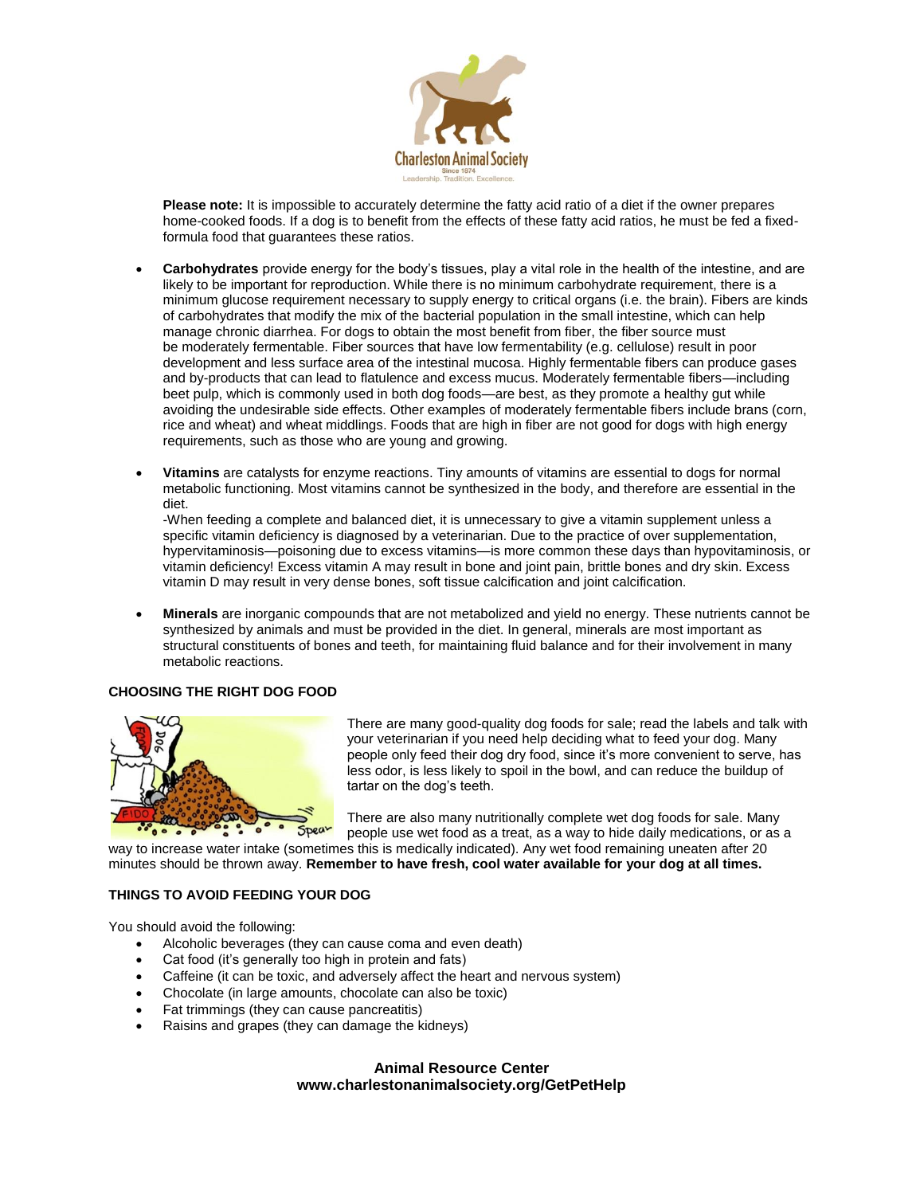

**Please note:** It is impossible to accurately determine the fatty acid ratio of a diet if the owner prepares home-cooked foods. If a dog is to benefit from the effects of these fatty acid ratios, he must be fed a fixedformula food that guarantees these ratios.

- **Carbohydrates** provide energy for the body's tissues, play a vital role in the health of the intestine, and are likely to be important for reproduction. While there is no minimum carbohydrate requirement, there is a minimum glucose requirement necessary to supply energy to critical organs (i.e. the brain). Fibers are kinds of carbohydrates that modify the mix of the bacterial population in the small intestine, which can help manage chronic diarrhea. For dogs to obtain the most benefit from fiber, the fiber source must be moderately fermentable. Fiber sources that have low fermentability (e.g. cellulose) result in poor development and less surface area of the intestinal mucosa. Highly fermentable fibers can produce gases and by-products that can lead to flatulence and excess mucus. Moderately fermentable fibers—including beet pulp, which is commonly used in both dog foods—are best, as they promote a healthy gut while avoiding the undesirable side effects. Other examples of moderately fermentable fibers include brans (corn, rice and wheat) and wheat middlings. Foods that are high in fiber are not good for dogs with high energy requirements, such as those who are young and growing.
- **Vitamins** are catalysts for enzyme reactions. Tiny amounts of vitamins are essential to dogs for normal metabolic functioning. Most vitamins cannot be synthesized in the body, and therefore are essential in the diet.

-When feeding a complete and balanced diet, it is unnecessary to give a vitamin supplement unless a specific vitamin deficiency is diagnosed by a veterinarian. Due to the practice of over supplementation, hypervitaminosis—poisoning due to excess vitamins—is more common these days than hypovitaminosis, or vitamin deficiency! Excess vitamin A may result in bone and joint pain, brittle bones and dry skin. Excess vitamin D may result in very dense bones, soft tissue calcification and joint calcification.

 **Minerals** are inorganic compounds that are not metabolized and yield no energy. These nutrients cannot be synthesized by animals and must be provided in the diet. In general, minerals are most important as structural constituents of bones and teeth, for maintaining fluid balance and for their involvement in many metabolic reactions.

# **CHOOSING THE RIGHT DOG FOOD**



There are many good-quality dog foods for sale; read the labels and talk with your veterinarian if you need help deciding what to feed your dog. Many people only feed their dog dry food, since it's more convenient to serve, has less odor, is less likely to spoil in the bowl, and can reduce the buildup of tartar on the dog's teeth.

There are also many nutritionally complete wet dog foods for sale. Many people use wet food as a treat, as a way to hide daily medications, or as a

way to increase water intake (sometimes this is medically indicated). Any wet food remaining uneaten after 20 minutes should be thrown away. **Remember to have fresh, cool water available for your dog at all times.**

# **THINGS TO AVOID FEEDING YOUR DOG**

You should avoid the following:

- Alcoholic beverages (they can cause coma and even death)
- Cat food (it's generally too high in protein and fats)
- Caffeine (it can be toxic, and adversely affect the heart and nervous system)
- Chocolate (in large amounts, chocolate can also be toxic)
- Fat trimmings (they can cause pancreatitis)
- Raisins and grapes (they can damage the kidneys)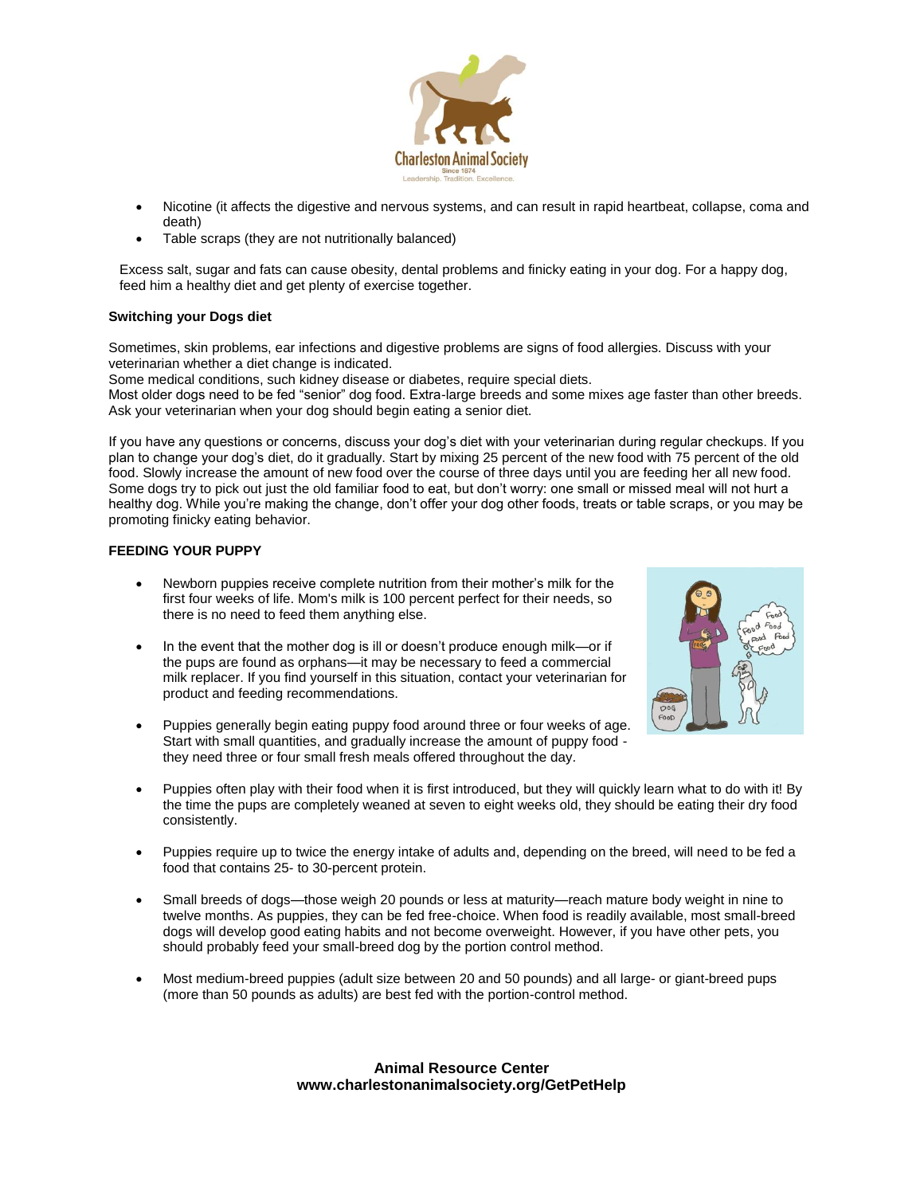

- Nicotine (it affects the digestive and nervous systems, and can result in rapid heartbeat, collapse, coma and death)
- Table scraps (they are not nutritionally balanced)

Excess salt, sugar and fats can cause obesity, dental problems and finicky eating in your dog. For a happy dog, feed him a healthy diet and get plenty of exercise together.

# **Switching your Dogs diet**

Sometimes, skin problems, ear infections and digestive problems are signs of food allergies. Discuss with your veterinarian whether a diet change is indicated.

Some medical conditions, such kidney disease or diabetes, require special diets. Most older dogs need to be fed "senior" dog food. Extra-large breeds and some mixes age faster than other breeds. Ask your veterinarian when your dog should begin eating a senior diet.

If you have any questions or concerns, discuss your dog's diet with your veterinarian during regular checkups. If you plan to change your dog's diet, do it gradually. Start by mixing 25 percent of the new food with 75 percent of the old food. Slowly increase the amount of new food over the course of three days until you are feeding her all new food. Some dogs try to pick out just the old familiar food to eat, but don't worry: one small or missed meal will not hurt a healthy dog. While you're making the change, don't offer your dog other foods, treats or table scraps, or you may be promoting finicky eating behavior.

# **FEEDING YOUR PUPPY**

- Newborn puppies receive complete nutrition from their mother's milk for the first four weeks of life. Mom's milk is 100 percent perfect for their needs, so there is no need to feed them anything else.
- In the event that the mother dog is ill or doesn't produce enough milk-or if the pups are found as orphans—it may be necessary to feed a commercial milk replacer. If you find yourself in this situation, contact your veterinarian for product and feeding recommendations.



- Puppies generally begin eating puppy food around three or four weeks of age. Start with small quantities, and gradually increase the amount of puppy food they need three or four small fresh meals offered throughout the day.
- Puppies often play with their food when it is first introduced, but they will quickly learn what to do with it! By the time the pups are completely weaned at seven to eight weeks old, they should be eating their dry food consistently.
- Puppies require up to twice the energy intake of adults and, depending on the breed, will need to be fed a food that contains 25- to 30-percent protein.
- Small breeds of dogs—those weigh 20 pounds or less at maturity—reach mature body weight in nine to twelve months. As puppies, they can be fed free-choice. When food is readily available, most small-breed dogs will develop good eating habits and not become overweight. However, if you have other pets, you should probably feed your small-breed dog by the portion control method.
- Most medium-breed puppies (adult size between 20 and 50 pounds) and all large- or giant-breed pups (more than 50 pounds as adults) are best fed with the portion-control method.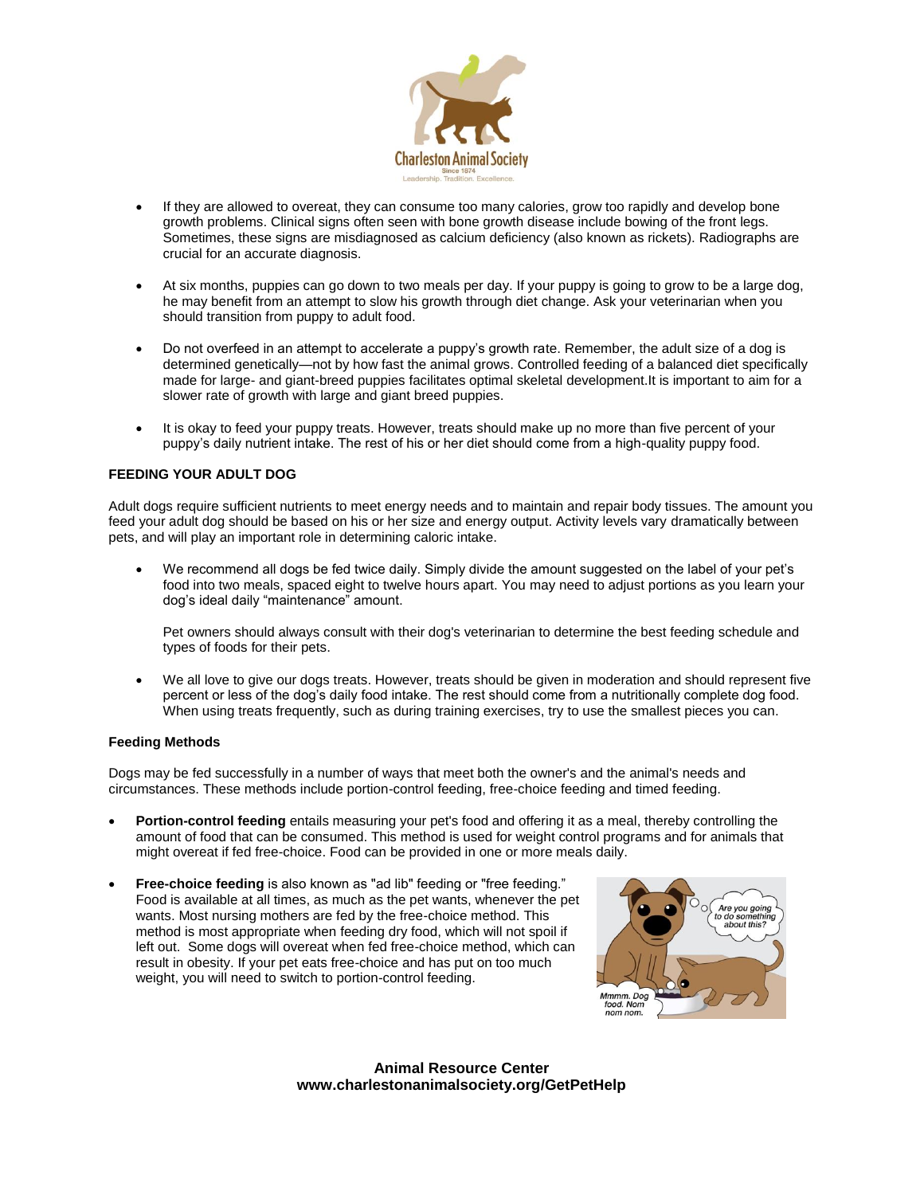

- If they are allowed to overeat, they can consume too many calories, grow too rapidly and develop bone growth problems. Clinical signs often seen with bone growth disease include bowing of the front legs. Sometimes, these signs are misdiagnosed as calcium deficiency (also known as rickets). Radiographs are crucial for an accurate diagnosis.
- At six months, puppies can go down to two meals per day. If your puppy is going to grow to be a large dog, he may benefit from an attempt to slow his growth through diet change. Ask your veterinarian when you should transition from puppy to adult food.
- Do not overfeed in an attempt to accelerate a puppy's growth rate. Remember, the adult size of a dog is determined genetically—not by how fast the animal grows. Controlled feeding of a balanced diet specifically made for large- and giant-breed puppies facilitates optimal skeletal development.It is important to aim for a slower rate of growth with large and giant breed puppies.
- It is okay to feed your puppy treats. However, treats should make up no more than five percent of your puppy's daily nutrient intake. The rest of his or her diet should come from a high-quality puppy food.

# **FEEDING YOUR ADULT DOG**

Adult dogs require sufficient nutrients to meet energy needs and to maintain and repair body tissues. The amount you feed your adult dog should be based on his or her size and energy output. Activity levels vary dramatically between pets, and will play an important role in determining caloric intake.

 We recommend all dogs be fed twice daily. Simply divide the amount suggested on the label of your pet's food into two meals, spaced eight to twelve hours apart. You may need to adjust portions as you learn your dog's ideal daily "maintenance" amount.

Pet owners should always consult with their dog's veterinarian to determine the best feeding schedule and types of foods for their pets.

 We all love to give our dogs treats. However, treats should be given in moderation and should represent five percent or less of the dog's daily food intake. The rest should come from a nutritionally complete dog food. When using treats frequently, such as during training exercises, try to use the smallest pieces you can.

#### **Feeding Methods**

Dogs may be fed successfully in a number of ways that meet both the owner's and the animal's needs and circumstances. These methods include portion-control feeding, free-choice feeding and timed feeding.

- **Portion-control feeding** entails measuring your pet's food and offering it as a meal, thereby controlling the amount of food that can be consumed. This method is used for weight control programs and for animals that might overeat if fed free-choice. Food can be provided in one or more meals daily.
- **Free-choice feeding** is also known as "ad lib" feeding or "free feeding." Food is available at all times, as much as the pet wants, whenever the pet wants. Most nursing mothers are fed by the free-choice method. This method is most appropriate when feeding dry food, which will not spoil if left out. Some dogs will overeat when fed free-choice method, which can result in obesity. If your pet eats free-choice and has put on too much weight, you will need to switch to portion-control feeding.

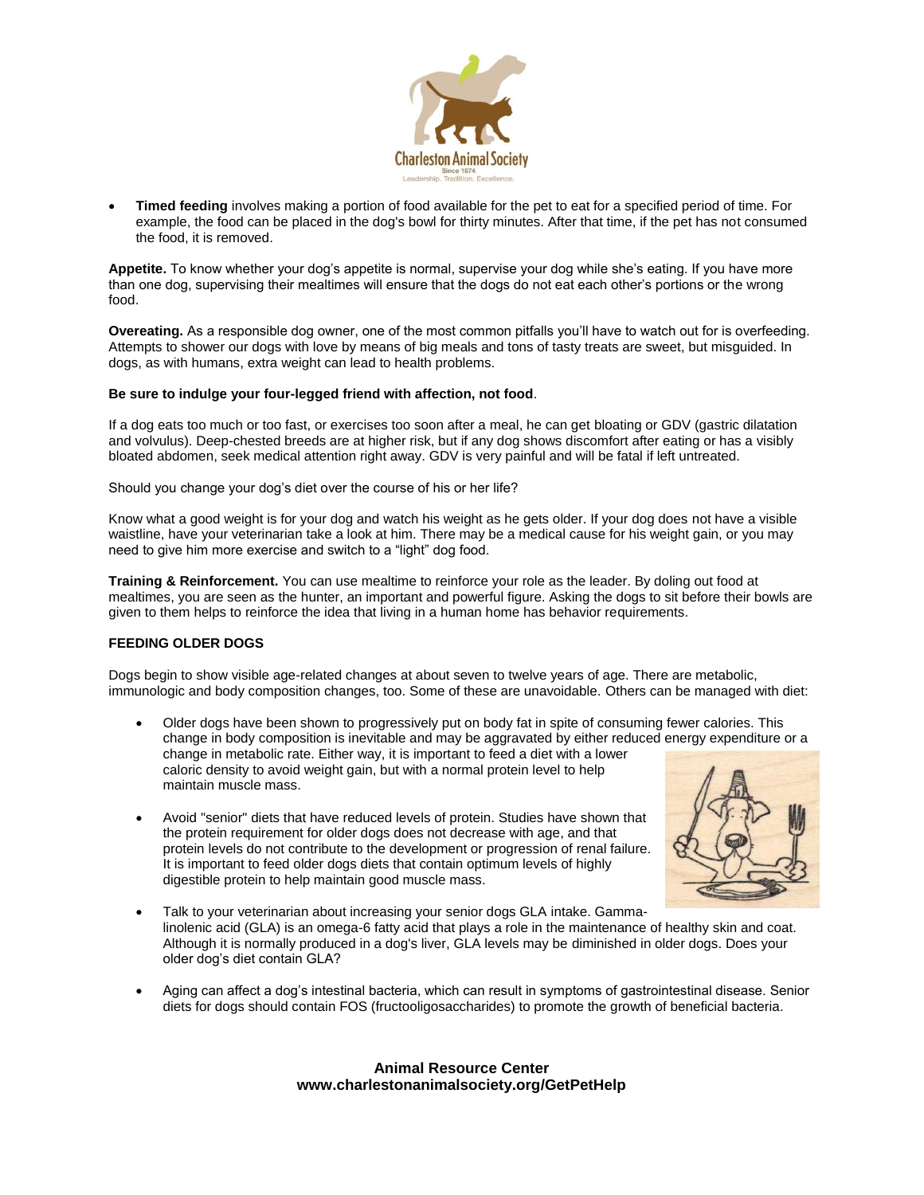

 **Timed feeding** involves making a portion of food available for the pet to eat for a specified period of time. For example, the food can be placed in the dog's bowl for thirty minutes. After that time, if the pet has not consumed the food, it is removed.

**Appetite.** To know whether your dog's appetite is normal, supervise your dog while she's eating. If you have more than one dog, supervising their mealtimes will ensure that the dogs do not eat each other's portions or the wrong food.

**Overeating.** As a responsible dog owner, one of the most common pitfalls you'll have to watch out for is overfeeding. Attempts to shower our dogs with love by means of big meals and tons of tasty treats are sweet, but misguided. In dogs, as with humans, extra weight can lead to health problems.

# **Be sure to indulge your four-legged friend with affection, not food**.

If a dog eats too much or too fast, or exercises too soon after a meal, he can get [bloating or GDV](http://bestfriends.org/Resources/Bloat-In-Dogs/) (gastric dilatation and volvulus). Deep-chested breeds are at higher risk, but if any dog shows discomfort after eating or has a visibly bloated abdomen, seek medical attention right away. GDV is very painful and will be fatal if left untreated.

Should you change your dog's diet over the course of his or her life?

Know what a good weight is for your dog and watch his weight as he gets older. If your dog does not have a visible waistline, have your veterinarian take a look at him. There may be a medical cause for his weight gain, or you may need to give him more exercise and switch to a "light" dog food.

**Training & Reinforcement.** You can use mealtime to reinforce your role as the leader. By doling out food at mealtimes, you are seen as the hunter, an important and powerful figure. Asking the dogs to sit before their bowls are given to them helps to reinforce the idea that living in a human home has behavior requirements.

# **FEEDING OLDER DOGS**

Dogs begin to show visible age-related changes at about seven to twelve years of age. There are metabolic, immunologic and body composition changes, too. Some of these are unavoidable. Others can be managed with diet:

- Older dogs have been shown to progressively put on body fat in spite of consuming fewer calories. This change in body composition is inevitable and may be aggravated by either reduced energy expenditure or a change in metabolic rate. Either way, it is important to feed a diet with a lower caloric density to avoid weight gain, but with a normal protein level to help maintain muscle mass.
- Avoid "senior" diets that have reduced levels of protein. Studies have shown that the protein requirement for older dogs does not decrease with age, and that protein levels do not contribute to the development or progression of renal failure. It is important to feed older dogs diets that contain optimum levels of highly digestible protein to help maintain good muscle mass.



- Talk to your veterinarian about increasing your senior dogs GLA intake. Gammalinolenic acid (GLA) is an omega-6 fatty acid that plays a role in the maintenance of healthy skin and coat. Although it is normally produced in a dog's liver, GLA levels may be diminished in older dogs. Does your older dog's diet contain GLA?
- Aging can affect a dog's intestinal bacteria, which can result in symptoms of gastrointestinal disease. Senior diets for dogs should contain FOS (fructooligosaccharides) to promote the growth of beneficial bacteria.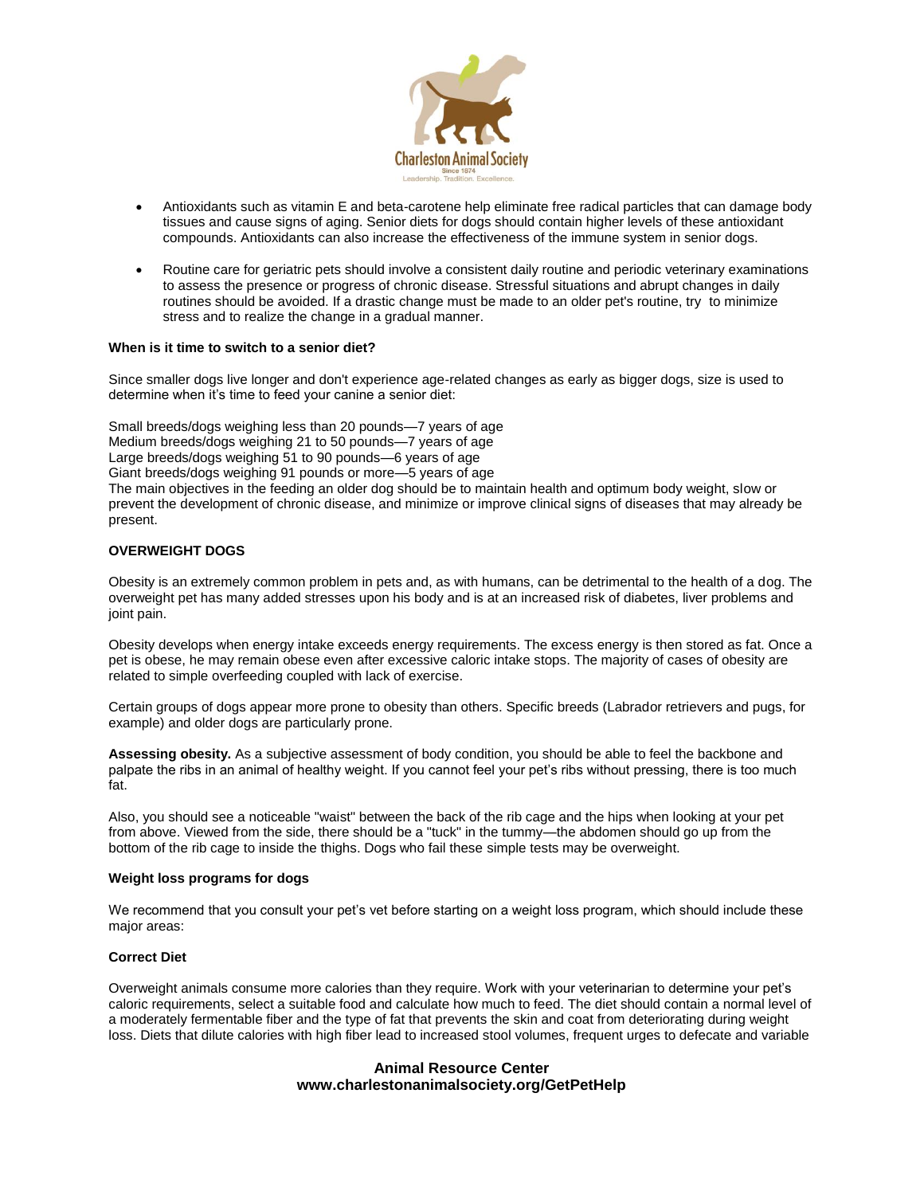

- Antioxidants such as vitamin E and beta-carotene help eliminate free radical particles that can damage body tissues and cause signs of aging. Senior diets for dogs should contain higher levels of these antioxidant compounds. Antioxidants can also increase the effectiveness of the immune system in senior dogs.
- Routine care for geriatric pets should involve a consistent daily routine and periodic veterinary examinations to assess the presence or progress of chronic disease. Stressful situations and abrupt changes in daily routines should be avoided. If a drastic change must be made to an older pet's routine, try to minimize stress and to realize the change in a gradual manner.

# **When is it time to switch to a senior diet?**

Since smaller dogs live longer and don't experience age-related changes as early as bigger dogs, size is used to determine when it's time to feed your canine a senior diet:

Small breeds/dogs weighing less than 20 pounds—7 years of age Medium breeds/dogs weighing 21 to 50 pounds—7 years of age Large breeds/dogs weighing 51 to 90 pounds—6 years of age Giant breeds/dogs weighing 91 pounds or more—5 years of age The main objectives in the feeding an older dog should be to maintain health and optimum body weight, slow or prevent the development of chronic disease, and minimize or improve clinical signs of diseases that may already be present.

#### **OVERWEIGHT DOGS**

Obesity is an extremely common problem in pets and, as with humans, can be detrimental to the health of a dog. The overweight pet has many added stresses upon his body and is at an increased risk of diabetes, liver problems and joint pain.

Obesity develops when energy intake exceeds energy requirements. The excess energy is then stored as fat. Once a pet is obese, he may remain obese even after excessive caloric intake stops. The majority of cases of obesity are related to simple overfeeding coupled with lack of exercise.

Certain groups of dogs appear more prone to obesity than others. Specific breeds (Labrador retrievers and pugs, for example) and older dogs are particularly prone.

**Assessing obesity.** As a subjective assessment of body condition, you should be able to feel the backbone and palpate the ribs in an animal of healthy weight. If you cannot feel your pet's ribs without pressing, there is too much fat.

Also, you should see a noticeable "waist" between the back of the rib cage and the hips when looking at your pet from above. Viewed from the side, there should be a "tuck" in the tummy—the abdomen should go up from the bottom of the rib cage to inside the thighs. Dogs who fail these simple tests may be overweight.

#### **Weight loss programs for dogs**

We recommend that you consult your pet's vet before starting on a weight loss program, which should include these major areas:

## **Correct Diet**

Overweight animals consume more calories than they require. Work with your veterinarian to determine your pet's caloric requirements, select a suitable food and calculate how much to feed. The diet should contain a normal level of a moderately fermentable fiber and the type of fat that prevents the skin and coat from deteriorating during weight loss. Diets that dilute calories with high fiber lead to increased stool volumes, frequent urges to defecate and variable